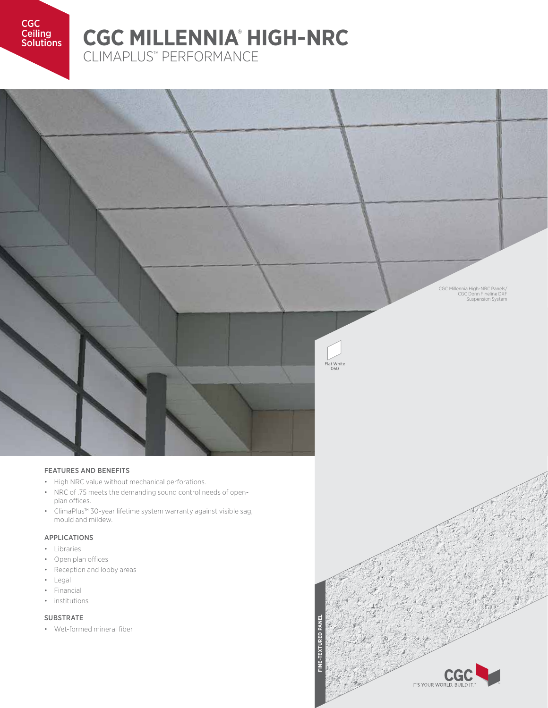CGC **Ceiling** 

## **Ceiling CGC MILLENNIA<sup>®</sup> HIGH-NRC** CLIMAPLUS™ PERFORMANCE

CGC Millennia High-NRC Panels/ CGC Donn Fineline DXF Suspension System

# Flat White 050

#### FEATURES AND BENEFITS

- High NRC value without mechanical perforations.
- NRC of .75 meets the demanding sound control needs of openplan offices.
- ClimaPlus™ 30-year lifetime system warranty against visible sag, mould and mildew.

## APPLICATIONS

- Libraries
- Open plan offices
- Reception and lobby areas
- Legal
- Financial
- institutions

#### SUBSTRATE

• Wet-formed mineral fiber